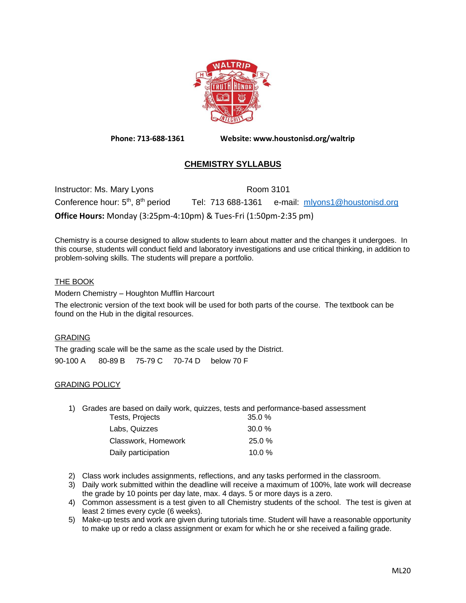

**Phone: 713-688-1361 Website: www.houstonisd.org/waltrip**

# **CHEMISTRY SYLLABUS**

Instructor: Ms. Mary Lyons Room 3101 Conference hour: 5<sup>th</sup>, 8 Tel: 713 688-1361 e-mail: [mlyons1@houstonisd.org](mailto:mlyons1@houstonisd.org) **Office Hours:** Monday (3:25pm-4:10pm) & Tues-Fri (1:50pm-2:35 pm)

Chemistry is a course designed to allow students to learn about matter and the changes it undergoes. In this course, students will conduct field and laboratory investigations and use critical thinking, in addition to problem-solving skills. The students will prepare a portfolio.

# THE BOOK

Modern Chemistry – Houghton Mufflin Harcourt

The electronic version of the text book will be used for both parts of the course. The textbook can be found on the Hub in the digital resources.

# GRADING

The grading scale will be the same as the scale used by the District. 90-100 A 80-89 B 75-79 C 70-74 D below 70 F

# GRADING POLICY

1) Grades are based on daily work, quizzes, tests and performance-based assessment

| Tests, Projects     | 35.0%     |
|---------------------|-----------|
| Labs. Quizzes       | $30.0 \%$ |
| Classwork. Homework | $25.0 \%$ |
| Daily participation | 10.0%     |

- 2) Class work includes assignments, reflections, and any tasks performed in the classroom.
- 3) Daily work submitted within the deadline will receive a maximum of 100%, late work will decrease the grade by 10 points per day late, max. 4 days. 5 or more days is a zero.
- 4) Common assessment is a test given to all Chemistry students of the school. The test is given at least 2 times every cycle (6 weeks).
- 5) Make-up tests and work are given during tutorials time. Student will have a reasonable opportunity to make up or redo a class assignment or exam for which he or she received a failing grade.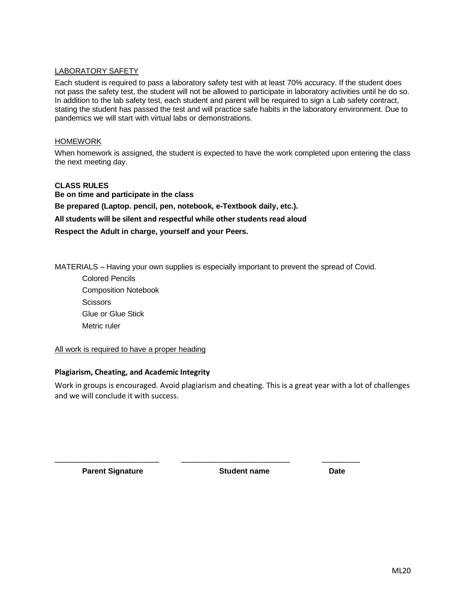# LABORATORY SAFETY

Each student is required to pass a laboratory safety test with at least 70% accuracy. If the student does not pass the safety test, the student will not be allowed to participate in laboratory activities until he do so. In addition to the lab safety test, each student and parent will be required to sign a Lab safety contract, stating the student has passed the test and will practice safe habits in the laboratory environment. Due to pandemics we will start with virtual labs or demonstrations.

#### HOMEWORK

When homework is assigned, the student is expected to have the work completed upon entering the class the next meeting day.

# **CLASS RULES Be on time and participate in the class Be prepared (Laptop. pencil, pen, notebook, e-Textbook daily, etc.). All students will be silent and respectful while other students read aloud Respect the Adult in charge, yourself and your Peers.**

MATERIALS – Having your own supplies is especially important to prevent the spread of Covid.

Colored Pencils Composition Notebook **Scissors** Glue or Glue Stick Metric ruler

#### All work is required to have a proper heading

#### **Plagiarism, Cheating, and Academic Integrity**

Work in groups is encouraged. Avoid plagiarism and cheating. This is a great year with a lot of challenges and we will conclude it with success.

\_\_\_\_\_\_\_\_\_\_\_\_\_\_\_\_\_\_\_\_\_\_\_\_\_ \_\_\_\_\_\_\_\_\_\_\_\_\_\_\_\_\_\_\_\_\_\_\_\_\_\_ \_\_\_\_\_\_\_\_\_

**Parent Signature Student name Date**